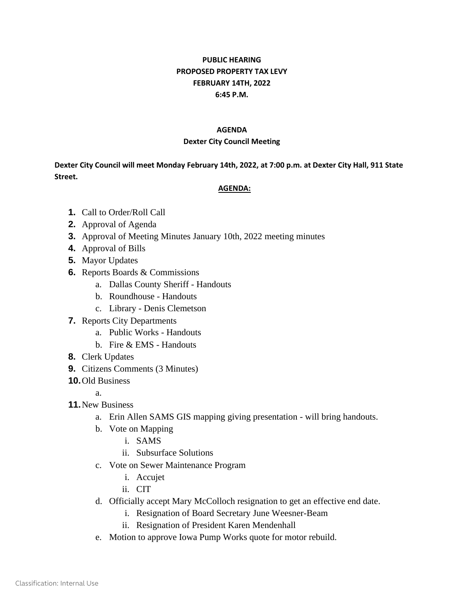## **PUBLIC HEARING PROPOSED PROPERTY TAX LEVY FEBRUARY 14TH, 2022 6:45 P.M.**

## **AGENDA**

## **Dexter City Council Meeting**

**Dexter City Council will meet Monday February 14th, 2022, at 7:00 p.m. at Dexter City Hall, 911 State Street.**

## **AGENDA:**

- **1.** Call to Order/Roll Call
- **2.** Approval of Agenda
- **3.** Approval of Meeting Minutes January 10th, 2022 meeting minutes
- **4.** Approval of Bills
- **5.** Mayor Updates
- **6.** Reports Boards & Commissions
	- a. Dallas County Sheriff Handouts
	- b. Roundhouse Handouts
	- c. Library Denis Clemetson
- **7.** Reports City Departments
	- a. Public Works Handouts
	- b. Fire & EMS Handouts
- **8.** Clerk Updates
- **9.** Citizens Comments (3 Minutes)
- **10.**Old Business
	- a.
- **11.**New Business
	- a. Erin Allen SAMS GIS mapping giving presentation will bring handouts.
	- b. Vote on Mapping
		- i. SAMS
		- ii. Subsurface Solutions
	- c. Vote on Sewer Maintenance Program
		- i. Accujet
		- ii. CIT
	- d. Officially accept Mary McColloch resignation to get an effective end date.
		- i. Resignation of Board Secretary June Weesner-Beam
		- ii. Resignation of President Karen Mendenhall
	- e. Motion to approve Iowa Pump Works quote for motor rebuild.